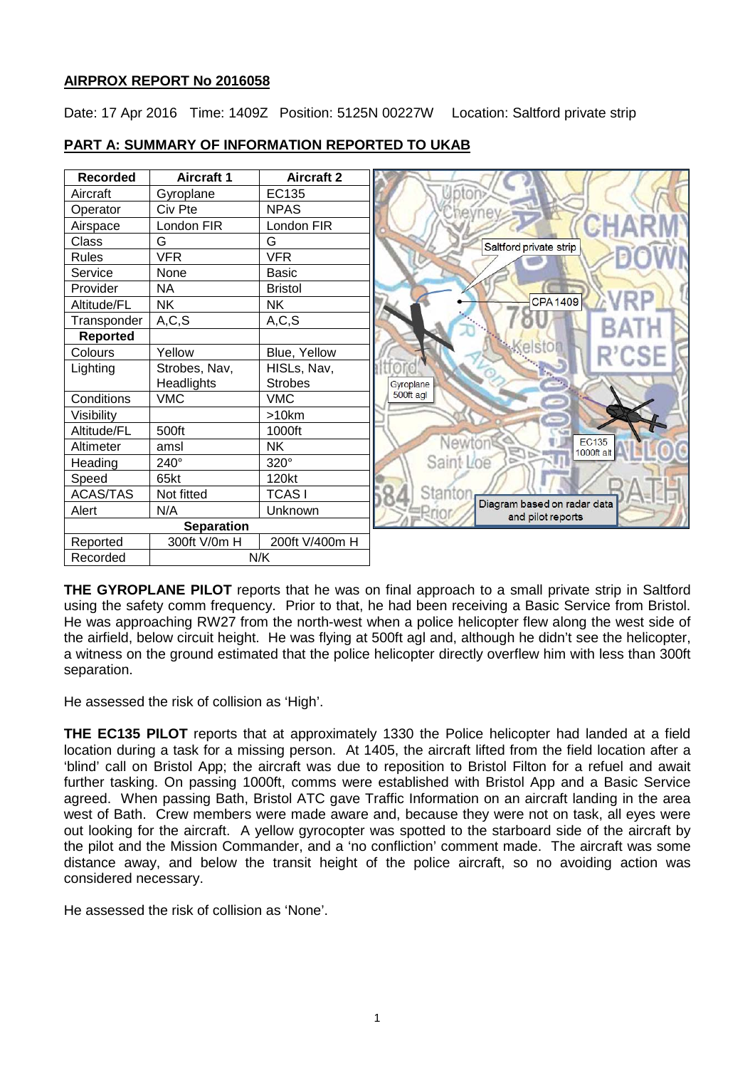# **AIRPROX REPORT No 2016058**

Date: 17 Apr 2016 Time: 1409Z Position: 5125N 00227W Location: Saltford private strip



# **PART A: SUMMARY OF INFORMATION REPORTED TO UKAB**

**THE GYROPLANE PILOT** reports that he was on final approach to a small private strip in Saltford using the safety comm frequency. Prior to that, he had been receiving a Basic Service from Bristol. He was approaching RW27 from the north-west when a police helicopter flew along the west side of the airfield, below circuit height. He was flying at 500ft agl and, although he didn't see the helicopter, a witness on the ground estimated that the police helicopter directly overflew him with less than 300ft separation.

He assessed the risk of collision as 'High'.

**THE EC135 PILOT** reports that at approximately 1330 the Police helicopter had landed at a field location during a task for a missing person. At 1405, the aircraft lifted from the field location after a 'blind' call on Bristol App; the aircraft was due to reposition to Bristol Filton for a refuel and await further tasking. On passing 1000ft, comms were established with Bristol App and a Basic Service agreed. When passing Bath, Bristol ATC gave Traffic Information on an aircraft landing in the area west of Bath. Crew members were made aware and, because they were not on task, all eyes were out looking for the aircraft. A yellow gyrocopter was spotted to the starboard side of the aircraft by the pilot and the Mission Commander, and a 'no confliction' comment made. The aircraft was some distance away, and below the transit height of the police aircraft, so no avoiding action was considered necessary.

He assessed the risk of collision as 'None'.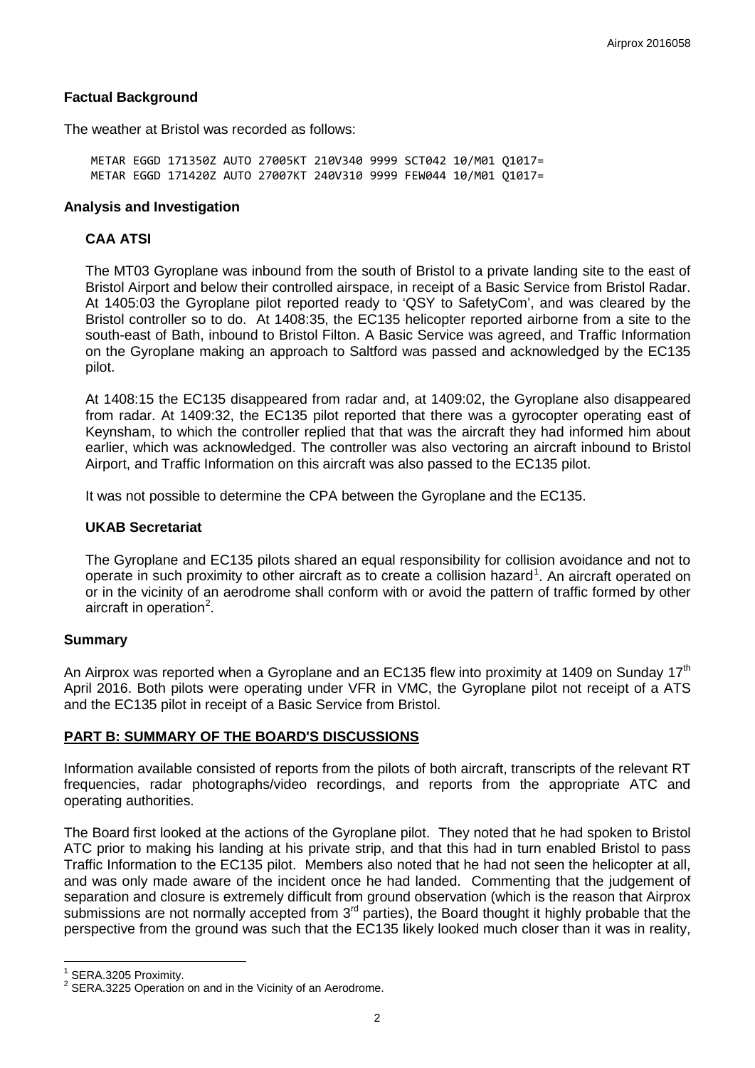# **Factual Background**

The weather at Bristol was recorded as follows:

METAR EGGD 171350Z AUTO 27005KT 210V340 9999 SCT042 10/M01 Q1017= METAR EGGD 171420Z AUTO 27007KT 240V310 9999 FEW044 10/M01 Q1017=

### **Analysis and Investigation**

# **CAA ATSI**

The MT03 Gyroplane was inbound from the south of Bristol to a private landing site to the east of Bristol Airport and below their controlled airspace, in receipt of a Basic Service from Bristol Radar. At 1405:03 the Gyroplane pilot reported ready to 'QSY to SafetyCom', and was cleared by the Bristol controller so to do. At 1408:35, the EC135 helicopter reported airborne from a site to the south-east of Bath, inbound to Bristol Filton. A Basic Service was agreed, and Traffic Information on the Gyroplane making an approach to Saltford was passed and acknowledged by the EC135 pilot.

At 1408:15 the EC135 disappeared from radar and, at 1409:02, the Gyroplane also disappeared from radar. At 1409:32, the EC135 pilot reported that there was a gyrocopter operating east of Keynsham, to which the controller replied that that was the aircraft they had informed him about earlier, which was acknowledged. The controller was also vectoring an aircraft inbound to Bristol Airport, and Traffic Information on this aircraft was also passed to the EC135 pilot.

It was not possible to determine the CPA between the Gyroplane and the EC135.

### **UKAB Secretariat**

The Gyroplane and EC135 pilots shared an equal responsibility for collision avoidance and not to operate in such proximity to other aircraft as to create a collision hazard<sup>[1](#page-1-0)</sup>. An aircraft operated on or in the vicinity of an aerodrome shall conform with or avoid the pattern of traffic formed by other aircraft in operation<sup>[2](#page-1-1)</sup>.

#### **Summary**

An Airprox was reported when a Gyroplane and an EC135 flew into proximity at 1409 on Sunday 17<sup>th</sup> April 2016. Both pilots were operating under VFR in VMC, the Gyroplane pilot not receipt of a ATS and the EC135 pilot in receipt of a Basic Service from Bristol.

#### **PART B: SUMMARY OF THE BOARD'S DISCUSSIONS**

Information available consisted of reports from the pilots of both aircraft, transcripts of the relevant RT frequencies, radar photographs/video recordings, and reports from the appropriate ATC and operating authorities.

The Board first looked at the actions of the Gyroplane pilot. They noted that he had spoken to Bristol ATC prior to making his landing at his private strip, and that this had in turn enabled Bristol to pass Traffic Information to the EC135 pilot. Members also noted that he had not seen the helicopter at all, and was only made aware of the incident once he had landed. Commenting that the judgement of separation and closure is extremely difficult from ground observation (which is the reason that Airprox submissions are not normally accepted from 3<sup>rd</sup> parties), the Board thought it highly probable that the perspective from the ground was such that the EC135 likely looked much closer than it was in reality,

<span id="page-1-1"></span><span id="page-1-0"></span>

<sup>&</sup>lt;sup>1</sup> SERA.3205 Proximity.<br><sup>2</sup> SERA.3225 Operation on and in the Vicinity of an Aerodrome.